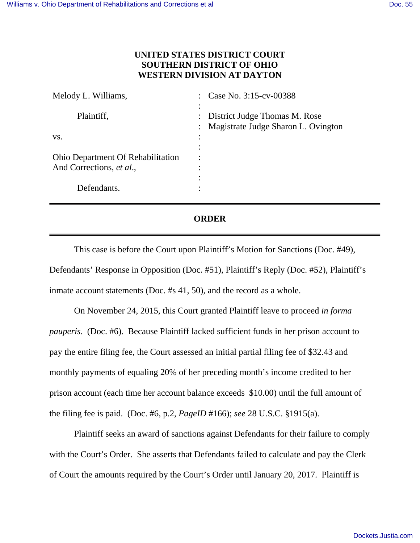## **UNITED STATES DISTRICT COURT SOUTHERN DISTRICT OF OHIO WESTERN DIVISION AT DAYTON**

| Melody L. Williams,                      | Case No. 3:15-cv-00388                                      |
|------------------------------------------|-------------------------------------------------------------|
|                                          |                                                             |
| Plaintiff,                               | : District Judge Thomas M. Rose                             |
|                                          | Magistrate Judge Sharon L. Ovington<br>$\ddot{\phantom{0}}$ |
| VS.                                      |                                                             |
|                                          |                                                             |
| <b>Ohio Department Of Rehabilitation</b> |                                                             |
| And Corrections, et al.,                 | ٠                                                           |
|                                          |                                                             |
| Defendants.                              |                                                             |

## **ORDER**

This case is before the Court upon Plaintiff's Motion for Sanctions (Doc. #49), Defendants' Response in Opposition (Doc. #51), Plaintiff's Reply (Doc. #52), Plaintiff's inmate account statements (Doc. #s 41, 50), and the record as a whole.

On November 24, 2015, this Court granted Plaintiff leave to proceed *in forma pauperis*. (Doc. #6). Because Plaintiff lacked sufficient funds in her prison account to pay the entire filing fee, the Court assessed an initial partial filing fee of \$32.43 and monthly payments of equaling 20% of her preceding month's income credited to her prison account (each time her account balance exceeds \$10.00) until the full amount of the filing fee is paid. (Doc. #6, p.2, *PageID* #166); *see* 28 U.S.C. §1915(a).

Plaintiff seeks an award of sanctions against Defendants for their failure to comply with the Court's Order. She asserts that Defendants failed to calculate and pay the Clerk of Court the amounts required by the Court's Order until January 20, 2017. Plaintiff is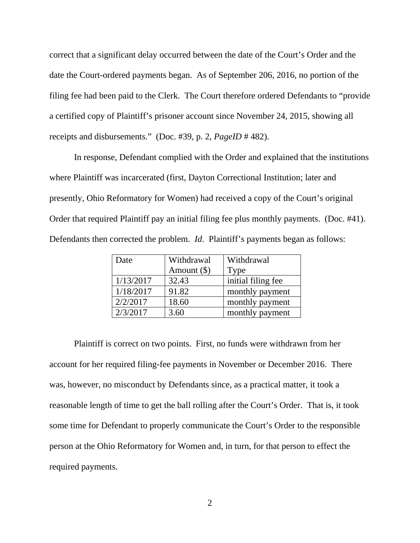correct that a significant delay occurred between the date of the Court's Order and the date the Court-ordered payments began. As of September 206, 2016, no portion of the filing fee had been paid to the Clerk. The Court therefore ordered Defendants to "provide a certified copy of Plaintiff's prisoner account since November 24, 2015, showing all receipts and disbursements." (Doc. #39, p. 2, *PageID* # 482).

In response, Defendant complied with the Order and explained that the institutions where Plaintiff was incarcerated (first, Dayton Correctional Institution; later and presently, Ohio Reformatory for Women) had received a copy of the Court's original Order that required Plaintiff pay an initial filing fee plus monthly payments. (Doc. #41). Defendants then corrected the problem. *Id*. Plaintiff's payments began as follows:

| Date      | Withdrawal    | Withdrawal         |
|-----------|---------------|--------------------|
|           | Amount $(\$)$ | Type               |
| 1/13/2017 | 32.43         | initial filing fee |
| 1/18/2017 | 91.82         | monthly payment    |
| 2/2/2017  | 18.60         | monthly payment    |
| 2/3/2017  | 3.60          | monthly payment    |

 Plaintiff is correct on two points. First, no funds were withdrawn from her account for her required filing-fee payments in November or December 2016. There was, however, no misconduct by Defendants since, as a practical matter, it took a reasonable length of time to get the ball rolling after the Court's Order. That is, it took some time for Defendant to properly communicate the Court's Order to the responsible person at the Ohio Reformatory for Women and, in turn, for that person to effect the required payments.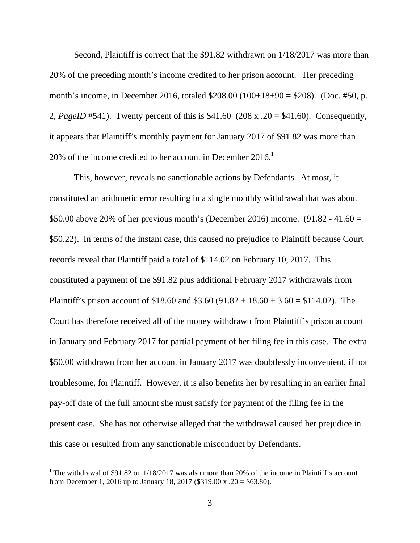Second, Plaintiff is correct that the \$91.82 withdrawn on 1/18/2017 was more than 20% of the preceding month's income credited to her prison account. Her preceding month's income, in December 2016, totaled \$208.00 (100+18+90 = \$208). (Doc. #50, p. 2, *PageID* #541). Twenty percent of this is \$41.60 (208 x .20 = \$41.60). Consequently, it appears that Plaintiff's monthly payment for January 2017 of \$91.82 was more than 20% of the income credited to her account in December 2016.<sup>1</sup>

 This, however, reveals no sanctionable actions by Defendants. At most, it constituted an arithmetic error resulting in a single monthly withdrawal that was about \$50.00 above 20% of her previous month's (December 2016) income.  $(91.82 - 41.60 =$ \$50.22). In terms of the instant case, this caused no prejudice to Plaintiff because Court records reveal that Plaintiff paid a total of \$114.02 on February 10, 2017. This constituted a payment of the \$91.82 plus additional February 2017 withdrawals from Plaintiff's prison account of \$18.60 and \$3.60 (91.82 + 18.60 + 3.60 = \$114.02). The Court has therefore received all of the money withdrawn from Plaintiff's prison account in January and February 2017 for partial payment of her filing fee in this case. The extra \$50.00 withdrawn from her account in January 2017 was doubtlessly inconvenient, if not troublesome, for Plaintiff. However, it is also benefits her by resulting in an earlier final pay-off date of the full amount she must satisfy for payment of the filing fee in the present case. She has not otherwise alleged that the withdrawal caused her prejudice in this case or resulted from any sanctionable misconduct by Defendants.

-

<sup>&</sup>lt;sup>1</sup> The withdrawal of \$91.82 on  $1/18/2017$  was also more than 20% of the income in Plaintiff's account from December 1, 2016 up to January 18, 2017 (\$319.00 x .20 = \$63.80).